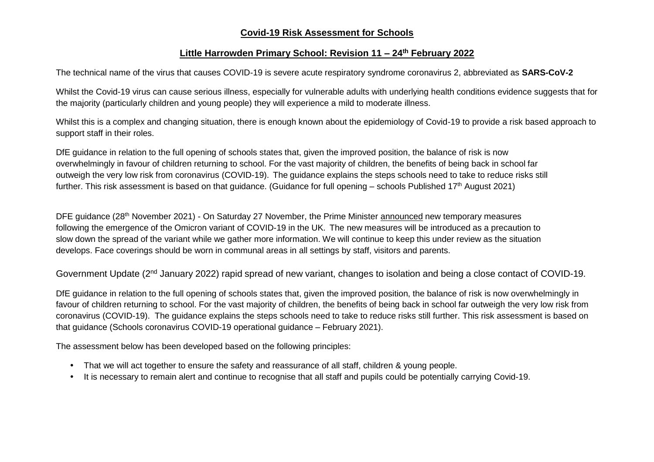## **Covid-19 Risk Assessment for Schools**

## **Little Harrowden Primary School: Revision 11 – 24th February 2022**

The technical name of the virus that causes COVID-19 is severe acute respiratory syndrome coronavirus 2, abbreviated as **SARS-CoV-2**

Whilst the Covid-19 virus can cause serious illness, especially for vulnerable adults with underlying health conditions evidence suggests that for the majority (particularly children and young people) they will experience a mild to moderate illness.

Whilst this is a complex and changing situation, there is enough known about the epidemiology of Covid-19 to provide a risk based approach to support staff in their roles.

DfE guidance in relation to the full opening of schools states that, given the improved position, the balance of risk is now overwhelmingly in favour of children returning to school. For the vast majority of children, the benefits of being back in school far outweigh the very low risk from coronavirus (COVID-19). The guidance explains the steps schools need to take to reduce risks still further. This risk assessment is based on that guidance. (Guidance for full opening – schools Published 17<sup>th</sup> August 2021)

DFE guidance (28<sup>th</sup> November 2021) - On Saturday 27 November, the Prime Minister [announced](https://www.gov.uk/government/news/prime-minister-sets-out-new-measures-as-omicron-variant-identified-in-uk-27-november-2021?utm_source=28%20November%202021%20C19&utm_medium=Daily%20Email%20C19&utm_campaign=DfE%20C19) new temporary measures following the emergence of the Omicron variant of COVID-19 in the UK. The new measures will be introduced as a precaution to slow down the spread of the variant while we gather more information. We will continue to keep this under review as the situation develops. Face coverings should be worn in communal areas in all settings by staff, visitors and parents.

Government Update (2<sup>nd</sup> January 2022) rapid spread of new variant, changes to isolation and being a close contact of COVID-19.

DfE guidance in relation to the full opening of schools states that, given the improved position, the balance of risk is now overwhelmingly in favour of children returning to school. For the vast majority of children, the benefits of being back in school far outweigh the very low risk from coronavirus (COVID-19). The guidance explains the steps schools need to take to reduce risks still further. This risk assessment is based on that guidance (Schools coronavirus COVID-19 operational guidance – February 2021).

The assessment below has been developed based on the following principles:

- That we will act together to ensure the safety and reassurance of all staff, children & young people.
- It is necessary to remain alert and continue to recognise that all staff and pupils could be potentially carrying Covid-19.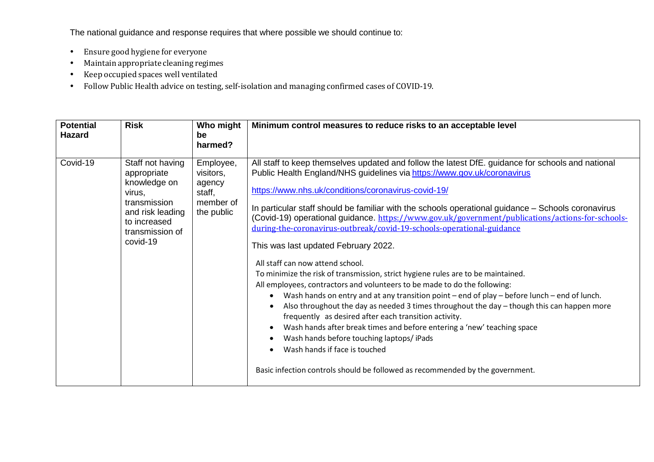The national guidance and response requires that where possible we should continue to:

- Ensure good hygiene for everyone
- Maintain appropriate cleaning regimes
- Keep occupied spaces well ventilated
- Follow Public Health advice on testing, self-isolation and managing confirmed cases of COVID-19.

| <b>Potential</b><br><b>Hazard</b> | <b>Risk</b>                                                                                                                                  | Who might<br>be<br>harmed?                                            | Minimum control measures to reduce risks to an acceptable level                                                                                                                                                                                                                                                                                                                                                                                                                                                                                                                                                                                                                                                                                                                                                                                                                                                                                                                                                                                                                                                                                                                                                                                                                                                                           |
|-----------------------------------|----------------------------------------------------------------------------------------------------------------------------------------------|-----------------------------------------------------------------------|-------------------------------------------------------------------------------------------------------------------------------------------------------------------------------------------------------------------------------------------------------------------------------------------------------------------------------------------------------------------------------------------------------------------------------------------------------------------------------------------------------------------------------------------------------------------------------------------------------------------------------------------------------------------------------------------------------------------------------------------------------------------------------------------------------------------------------------------------------------------------------------------------------------------------------------------------------------------------------------------------------------------------------------------------------------------------------------------------------------------------------------------------------------------------------------------------------------------------------------------------------------------------------------------------------------------------------------------|
| Covid-19                          | Staff not having<br>appropriate<br>knowledge on<br>virus,<br>transmission<br>and risk leading<br>to increased<br>transmission of<br>covid-19 | Employee,<br>visitors,<br>agency<br>staff,<br>member of<br>the public | All staff to keep themselves updated and follow the latest DfE. guidance for schools and national<br>Public Health England/NHS guidelines via https://www.gov.uk/coronavirus<br>https://www.nhs.uk/conditions/coronavirus-covid-19/<br>In particular staff should be familiar with the schools operational guidance – Schools coronavirus<br>(Covid-19) operational guidance. https://www.gov.uk/government/publications/actions-for-schools-<br>during-the-coronavirus-outbreak/covid-19-schools-operational-guidance<br>This was last updated February 2022.<br>All staff can now attend school.<br>To minimize the risk of transmission, strict hygiene rules are to be maintained.<br>All employees, contractors and volunteers to be made to do the following:<br>Wash hands on entry and at any transition point – end of play – before lunch – end of lunch.<br>$\bullet$<br>Also throughout the day as needed $3$ times throughout the day $-$ though this can happen more<br>$\bullet$<br>frequently as desired after each transition activity.<br>Wash hands after break times and before entering a 'new' teaching space<br>$\bullet$<br>Wash hands before touching laptops/ iPads<br>$\bullet$<br>Wash hands if face is touched<br>$\bullet$<br>Basic infection controls should be followed as recommended by the government. |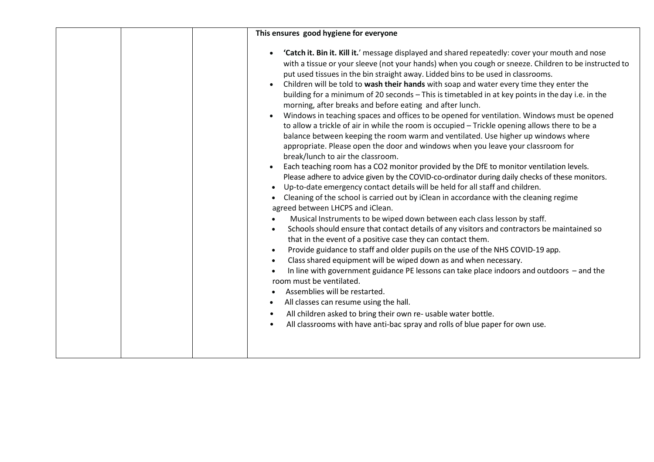| This ensures good hygiene for everyone                                                                                                                                                                                                                                                                                                                                                                                                                                                                                                                                                                                                                                                                                                                                                                                                                                                                                                                                                                                                                                                                                                                                                                                                                                                                                                                                                                                                                                                                                                                                                                                                                                                                                                                                                                                                                                                                                                                                                                                                                                                                                                                                         |
|--------------------------------------------------------------------------------------------------------------------------------------------------------------------------------------------------------------------------------------------------------------------------------------------------------------------------------------------------------------------------------------------------------------------------------------------------------------------------------------------------------------------------------------------------------------------------------------------------------------------------------------------------------------------------------------------------------------------------------------------------------------------------------------------------------------------------------------------------------------------------------------------------------------------------------------------------------------------------------------------------------------------------------------------------------------------------------------------------------------------------------------------------------------------------------------------------------------------------------------------------------------------------------------------------------------------------------------------------------------------------------------------------------------------------------------------------------------------------------------------------------------------------------------------------------------------------------------------------------------------------------------------------------------------------------------------------------------------------------------------------------------------------------------------------------------------------------------------------------------------------------------------------------------------------------------------------------------------------------------------------------------------------------------------------------------------------------------------------------------------------------------------------------------------------------|
| 'Catch it. Bin it. Kill it.' message displayed and shared repeatedly: cover your mouth and nose<br>$\bullet$<br>with a tissue or your sleeve (not your hands) when you cough or sneeze. Children to be instructed to<br>put used tissues in the bin straight away. Lidded bins to be used in classrooms.<br>Children will be told to wash their hands with soap and water every time they enter the<br>building for a minimum of 20 seconds - This is timetabled in at key points in the day i.e. in the<br>morning, after breaks and before eating and after lunch.<br>Windows in teaching spaces and offices to be opened for ventilation. Windows must be opened<br>to allow a trickle of air in while the room is occupied - Trickle opening allows there to be a<br>balance between keeping the room warm and ventilated. Use higher up windows where<br>appropriate. Please open the door and windows when you leave your classroom for<br>break/lunch to air the classroom.<br>Each teaching room has a CO2 monitor provided by the DfE to monitor ventilation levels.<br>Please adhere to advice given by the COVID-co-ordinator during daily checks of these monitors.<br>Up-to-date emergency contact details will be held for all staff and children.<br>Cleaning of the school is carried out by iClean in accordance with the cleaning regime<br>agreed between LHCPS and iClean.<br>Musical Instruments to be wiped down between each class lesson by staff.<br>Schools should ensure that contact details of any visitors and contractors be maintained so<br>that in the event of a positive case they can contact them.<br>Provide guidance to staff and older pupils on the use of the NHS COVID-19 app.<br>Class shared equipment will be wiped down as and when necessary.<br>In line with government guidance PE lessons can take place indoors and outdoors - and the<br>room must be ventilated.<br>Assemblies will be restarted.<br>All classes can resume using the hall.<br>$\bullet$<br>All children asked to bring their own re- usable water bottle.<br>$\bullet$<br>All classrooms with have anti-bac spray and rolls of blue paper for own use. |
|                                                                                                                                                                                                                                                                                                                                                                                                                                                                                                                                                                                                                                                                                                                                                                                                                                                                                                                                                                                                                                                                                                                                                                                                                                                                                                                                                                                                                                                                                                                                                                                                                                                                                                                                                                                                                                                                                                                                                                                                                                                                                                                                                                                |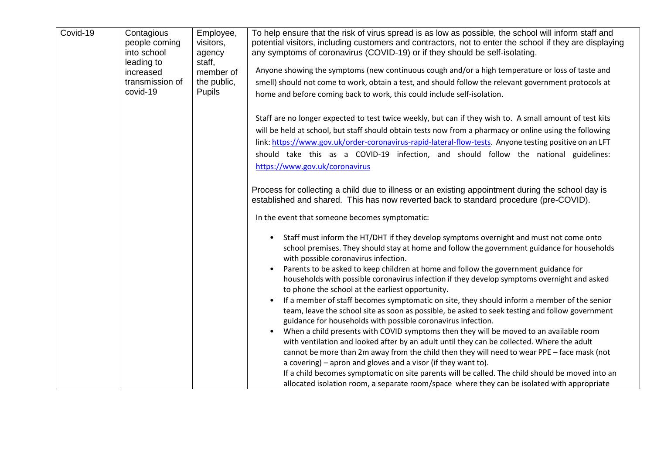| Covid-19 | Contagious<br>people coming<br>into school<br>leading to | Employee,<br>visitors,<br>agency<br>staff, | To help ensure that the risk of virus spread is as low as possible, the school will inform staff and<br>potential visitors, including customers and contractors, not to enter the school if they are displaying<br>any symptoms of coronavirus (COVID-19) or if they should be self-isolating.                                                                                                                                                                                                                                                                       |
|----------|----------------------------------------------------------|--------------------------------------------|----------------------------------------------------------------------------------------------------------------------------------------------------------------------------------------------------------------------------------------------------------------------------------------------------------------------------------------------------------------------------------------------------------------------------------------------------------------------------------------------------------------------------------------------------------------------|
|          | increased                                                | member of                                  | Anyone showing the symptoms (new continuous cough and/or a high temperature or loss of taste and                                                                                                                                                                                                                                                                                                                                                                                                                                                                     |
|          | transmission of                                          | the public,                                | smell) should not come to work, obtain a test, and should follow the relevant government protocols at                                                                                                                                                                                                                                                                                                                                                                                                                                                                |
|          | covid-19                                                 | Pupils                                     | home and before coming back to work, this could include self-isolation.                                                                                                                                                                                                                                                                                                                                                                                                                                                                                              |
|          |                                                          |                                            | Staff are no longer expected to test twice weekly, but can if they wish to. A small amount of test kits<br>will be held at school, but staff should obtain tests now from a pharmacy or online using the following<br>link: https://www.gov.uk/order-coronavirus-rapid-lateral-flow-tests. Anyone testing positive on an LFT<br>should take this as a COVID-19 infection, and should follow the national guidelines:<br>https://www.gov.uk/coronavirus                                                                                                               |
|          |                                                          |                                            | Process for collecting a child due to illness or an existing appointment during the school day is<br>established and shared. This has now reverted back to standard procedure (pre-COVID).                                                                                                                                                                                                                                                                                                                                                                           |
|          |                                                          |                                            | In the event that someone becomes symptomatic:                                                                                                                                                                                                                                                                                                                                                                                                                                                                                                                       |
|          |                                                          |                                            | Staff must inform the HT/DHT if they develop symptoms overnight and must not come onto<br>$\bullet$<br>school premises. They should stay at home and follow the government guidance for households<br>with possible coronavirus infection.<br>Parents to be asked to keep children at home and follow the government guidance for<br>$\bullet$<br>households with possible coronavirus infection if they develop symptoms overnight and asked<br>to phone the school at the earliest opportunity.                                                                    |
|          |                                                          |                                            | If a member of staff becomes symptomatic on site, they should inform a member of the senior<br>$\bullet$<br>team, leave the school site as soon as possible, be asked to seek testing and follow government<br>guidance for households with possible coronavirus infection.                                                                                                                                                                                                                                                                                          |
|          |                                                          |                                            | When a child presents with COVID symptoms then they will be moved to an available room<br>$\bullet$<br>with ventilation and looked after by an adult until they can be collected. Where the adult<br>cannot be more than 2m away from the child then they will need to wear PPE - face mask (not<br>a covering) – apron and gloves and a visor (if they want to).<br>If a child becomes symptomatic on site parents will be called. The child should be moved into an<br>allocated isolation room, a separate room/space where they can be isolated with appropriate |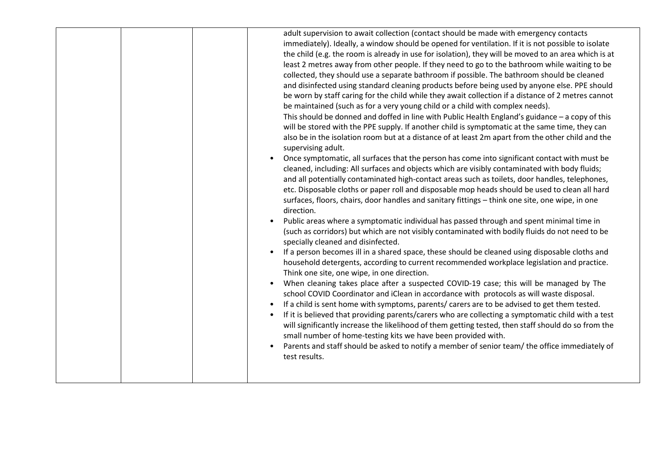|  | adult supervision to await collection (contact should be made with emergency contacts<br>immediately). Ideally, a window should be opened for ventilation. If it is not possible to isolate<br>the child (e.g. the room is already in use for isolation), they will be moved to an area which is at<br>least 2 metres away from other people. If they need to go to the bathroom while waiting to be<br>collected, they should use a separate bathroom if possible. The bathroom should be cleaned<br>and disinfected using standard cleaning products before being used by anyone else. PPE should<br>be worn by staff caring for the child while they await collection if a distance of 2 metres cannot<br>be maintained (such as for a very young child or a child with complex needs).<br>This should be donned and doffed in line with Public Health England's guidance - a copy of this<br>will be stored with the PPE supply. If another child is symptomatic at the same time, they can<br>also be in the isolation room but at a distance of at least 2m apart from the other child and the<br>supervising adult.<br>Once symptomatic, all surfaces that the person has come into significant contact with must be<br>cleaned, including: All surfaces and objects which are visibly contaminated with body fluids;<br>and all potentially contaminated high-contact areas such as toilets, door handles, telephones,<br>etc. Disposable cloths or paper roll and disposable mop heads should be used to clean all hard<br>surfaces, floors, chairs, door handles and sanitary fittings - think one site, one wipe, in one<br>direction.<br>Public areas where a symptomatic individual has passed through and spent minimal time in<br>(such as corridors) but which are not visibly contaminated with bodily fluids do not need to be<br>specially cleaned and disinfected.<br>If a person becomes ill in a shared space, these should be cleaned using disposable cloths and<br>$\bullet$<br>household detergents, according to current recommended workplace legislation and practice.<br>Think one site, one wipe, in one direction.<br>When cleaning takes place after a suspected COVID-19 case; this will be managed by The<br>$\bullet$<br>school COVID Coordinator and iClean in accordance with protocols as will waste disposal.<br>If a child is sent home with symptoms, parents/ carers are to be advised to get them tested.<br>$\bullet$<br>If it is believed that providing parents/carers who are collecting a symptomatic child with a test<br>will significantly increase the likelihood of them getting tested, then staff should do so from the<br>small number of home-testing kits we have been provided with.<br>Parents and staff should be asked to notify a member of senior team/ the office immediately of<br>$\bullet$<br>test results. |
|--|----------------------------------------------------------------------------------------------------------------------------------------------------------------------------------------------------------------------------------------------------------------------------------------------------------------------------------------------------------------------------------------------------------------------------------------------------------------------------------------------------------------------------------------------------------------------------------------------------------------------------------------------------------------------------------------------------------------------------------------------------------------------------------------------------------------------------------------------------------------------------------------------------------------------------------------------------------------------------------------------------------------------------------------------------------------------------------------------------------------------------------------------------------------------------------------------------------------------------------------------------------------------------------------------------------------------------------------------------------------------------------------------------------------------------------------------------------------------------------------------------------------------------------------------------------------------------------------------------------------------------------------------------------------------------------------------------------------------------------------------------------------------------------------------------------------------------------------------------------------------------------------------------------------------------------------------------------------------------------------------------------------------------------------------------------------------------------------------------------------------------------------------------------------------------------------------------------------------------------------------------------------------------------------------------------------------------------------------------------------------------------------------------------------------------------------------------------------------------------------------------------------------------------------------------------------------------------------------------------------------------------------------------------------------------------------------------------------------------------------------------------------------------------------------------------------------------------------------------------------------------------|
|  |                                                                                                                                                                                                                                                                                                                                                                                                                                                                                                                                                                                                                                                                                                                                                                                                                                                                                                                                                                                                                                                                                                                                                                                                                                                                                                                                                                                                                                                                                                                                                                                                                                                                                                                                                                                                                                                                                                                                                                                                                                                                                                                                                                                                                                                                                                                                                                                                                                                                                                                                                                                                                                                                                                                                                                                                                                                                                  |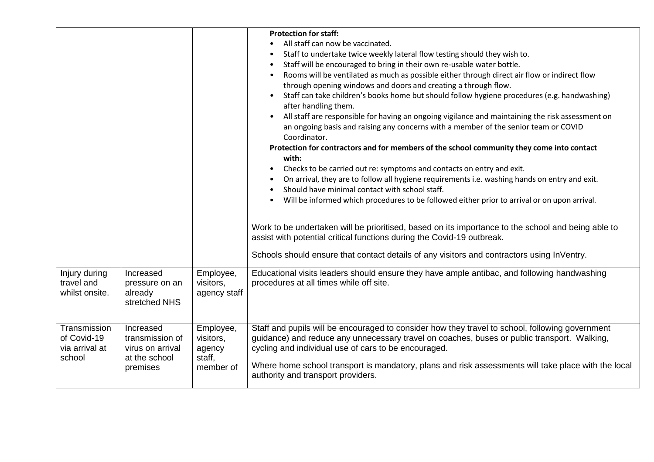| Injury during<br>travel and<br>whilst onsite.           | Increased<br>pressure on an<br>already<br>stretched NHS                       | Employee,<br>visitors,<br>agency staff                  | <b>Protection for staff:</b><br>All staff can now be vaccinated.<br>Staff to undertake twice weekly lateral flow testing should they wish to.<br>Staff will be encouraged to bring in their own re-usable water bottle.<br>Rooms will be ventilated as much as possible either through direct air flow or indirect flow<br>through opening windows and doors and creating a through flow.<br>Staff can take children's books home but should follow hygiene procedures (e.g. handwashing)<br>after handling them.<br>All staff are responsible for having an ongoing vigilance and maintaining the risk assessment on<br>an ongoing basis and raising any concerns with a member of the senior team or COVID<br>Coordinator.<br>Protection for contractors and for members of the school community they come into contact<br>with:<br>Checks to be carried out re: symptoms and contacts on entry and exit.<br>$\bullet$<br>On arrival, they are to follow all hygiene requirements i.e. washing hands on entry and exit.<br>Should have minimal contact with school staff.<br>Will be informed which procedures to be followed either prior to arrival or on upon arrival.<br>Work to be undertaken will be prioritised, based on its importance to the school and being able to<br>assist with potential critical functions during the Covid-19 outbreak.<br>Schools should ensure that contact details of any visitors and contractors using InVentry.<br>Educational visits leaders should ensure they have ample antibac, and following handwashing<br>procedures at all times while off site. |
|---------------------------------------------------------|-------------------------------------------------------------------------------|---------------------------------------------------------|-----------------------------------------------------------------------------------------------------------------------------------------------------------------------------------------------------------------------------------------------------------------------------------------------------------------------------------------------------------------------------------------------------------------------------------------------------------------------------------------------------------------------------------------------------------------------------------------------------------------------------------------------------------------------------------------------------------------------------------------------------------------------------------------------------------------------------------------------------------------------------------------------------------------------------------------------------------------------------------------------------------------------------------------------------------------------------------------------------------------------------------------------------------------------------------------------------------------------------------------------------------------------------------------------------------------------------------------------------------------------------------------------------------------------------------------------------------------------------------------------------------------------------------------------------------------------------------------------------|
| Transmission<br>of Covid-19<br>via arrival at<br>school | Increased<br>transmission of<br>virus on arrival<br>at the school<br>premises | Employee,<br>visitors,<br>agency<br>staff,<br>member of | Staff and pupils will be encouraged to consider how they travel to school, following government<br>guidance) and reduce any unnecessary travel on coaches, buses or public transport. Walking,<br>cycling and individual use of cars to be encouraged.<br>Where home school transport is mandatory, plans and risk assessments will take place with the local<br>authority and transport providers.                                                                                                                                                                                                                                                                                                                                                                                                                                                                                                                                                                                                                                                                                                                                                                                                                                                                                                                                                                                                                                                                                                                                                                                                 |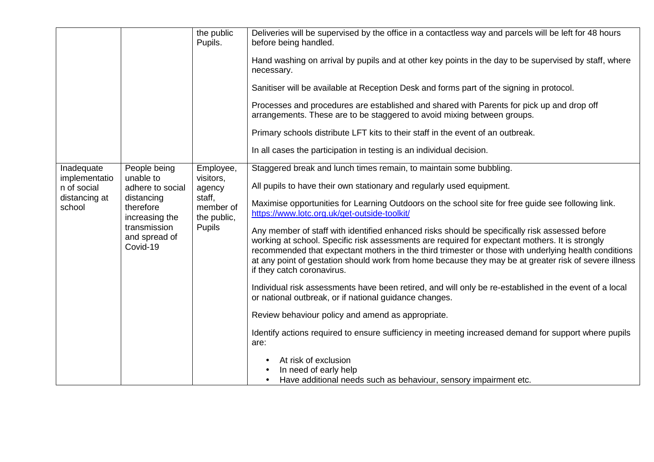|                              |                                            | the public<br>Pupils.                                                                                                                                                | Deliveries will be supervised by the office in a contactless way and parcels will be left for 48 hours<br>before being handled.                                                                                                                                                                                                                                                                                                                  |
|------------------------------|--------------------------------------------|----------------------------------------------------------------------------------------------------------------------------------------------------------------------|--------------------------------------------------------------------------------------------------------------------------------------------------------------------------------------------------------------------------------------------------------------------------------------------------------------------------------------------------------------------------------------------------------------------------------------------------|
|                              |                                            |                                                                                                                                                                      | Hand washing on arrival by pupils and at other key points in the day to be supervised by staff, where<br>necessary.                                                                                                                                                                                                                                                                                                                              |
|                              |                                            |                                                                                                                                                                      | Sanitiser will be available at Reception Desk and forms part of the signing in protocol.                                                                                                                                                                                                                                                                                                                                                         |
|                              |                                            | Processes and procedures are established and shared with Parents for pick up and drop off<br>arrangements. These are to be staggered to avoid mixing between groups. |                                                                                                                                                                                                                                                                                                                                                                                                                                                  |
|                              |                                            |                                                                                                                                                                      | Primary schools distribute LFT kits to their staff in the event of an outbreak.                                                                                                                                                                                                                                                                                                                                                                  |
|                              |                                            |                                                                                                                                                                      | In all cases the participation in testing is an individual decision.                                                                                                                                                                                                                                                                                                                                                                             |
| Inadequate                   | People being                               | Employee,                                                                                                                                                            | Staggered break and lunch times remain, to maintain some bubbling.                                                                                                                                                                                                                                                                                                                                                                               |
| implementatio<br>n of social | unable to<br>visitors,<br>adhere to social | agency                                                                                                                                                               | All pupils to have their own stationary and regularly used equipment.                                                                                                                                                                                                                                                                                                                                                                            |
| distancing at<br>school      | distancing<br>therefore<br>increasing the  | staff,<br>member of<br>the public,<br><b>Pupils</b>                                                                                                                  | Maximise opportunities for Learning Outdoors on the school site for free guide see following link.<br>https://www.lotc.org.uk/get-outside-toolkit/                                                                                                                                                                                                                                                                                               |
| Covid-19                     | transmission<br>and spread of              |                                                                                                                                                                      | Any member of staff with identified enhanced risks should be specifically risk assessed before<br>working at school. Specific risk assessments are required for expectant mothers. It is strongly<br>recommended that expectant mothers in the third trimester or those with underlying health conditions<br>at any point of gestation should work from home because they may be at greater risk of severe illness<br>if they catch coronavirus. |
|                              |                                            |                                                                                                                                                                      | Individual risk assessments have been retired, and will only be re-established in the event of a local<br>or national outbreak, or if national guidance changes.                                                                                                                                                                                                                                                                                 |
|                              |                                            |                                                                                                                                                                      | Review behaviour policy and amend as appropriate.                                                                                                                                                                                                                                                                                                                                                                                                |
|                              |                                            |                                                                                                                                                                      | Identify actions required to ensure sufficiency in meeting increased demand for support where pupils<br>are:                                                                                                                                                                                                                                                                                                                                     |
|                              |                                            |                                                                                                                                                                      | At risk of exclusion<br>In need of early help<br>Have additional needs such as behaviour, sensory impairment etc.                                                                                                                                                                                                                                                                                                                                |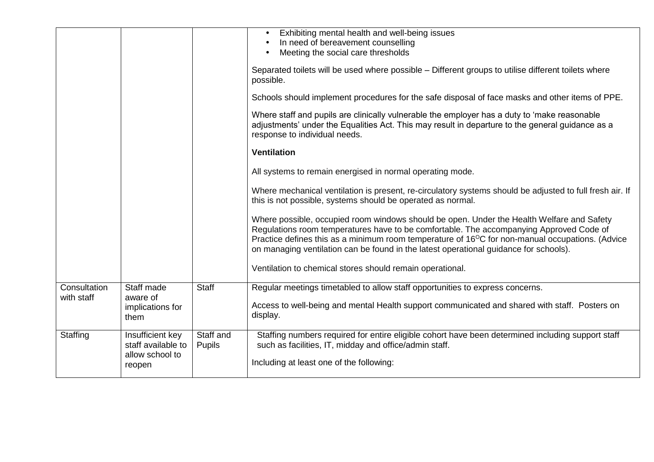|                            |                                                                     |                     | Exhibiting mental health and well-being issues<br>In need of bereavement counselling<br>Meeting the social care thresholds<br>$\bullet$                                                                                                                                                                                                                                                       |
|----------------------------|---------------------------------------------------------------------|---------------------|-----------------------------------------------------------------------------------------------------------------------------------------------------------------------------------------------------------------------------------------------------------------------------------------------------------------------------------------------------------------------------------------------|
|                            |                                                                     |                     | Separated toilets will be used where possible – Different groups to utilise different toilets where<br>possible.                                                                                                                                                                                                                                                                              |
|                            |                                                                     |                     | Schools should implement procedures for the safe disposal of face masks and other items of PPE.                                                                                                                                                                                                                                                                                               |
|                            |                                                                     |                     | Where staff and pupils are clinically vulnerable the employer has a duty to 'make reasonable<br>adjustments' under the Equalities Act. This may result in departure to the general guidance as a<br>response to individual needs.                                                                                                                                                             |
|                            |                                                                     |                     | <b>Ventilation</b>                                                                                                                                                                                                                                                                                                                                                                            |
|                            |                                                                     |                     | All systems to remain energised in normal operating mode.                                                                                                                                                                                                                                                                                                                                     |
|                            |                                                                     |                     | Where mechanical ventilation is present, re-circulatory systems should be adjusted to full fresh air. If<br>this is not possible, systems should be operated as normal.                                                                                                                                                                                                                       |
|                            |                                                                     |                     | Where possible, occupied room windows should be open. Under the Health Welfare and Safety<br>Regulations room temperatures have to be comfortable. The accompanying Approved Code of<br>Practice defines this as a minimum room temperature of 16 <sup>o</sup> C for non-manual occupations. (Advice<br>on managing ventilation can be found in the latest operational guidance for schools). |
|                            |                                                                     |                     | Ventilation to chemical stores should remain operational.                                                                                                                                                                                                                                                                                                                                     |
| Consultation<br>with staff | Staff made<br>aware of<br>implications for<br>them                  | <b>Staff</b>        | Regular meetings timetabled to allow staff opportunities to express concerns.<br>Access to well-being and mental Health support communicated and shared with staff. Posters on<br>display.                                                                                                                                                                                                    |
| Staffing                   | Insufficient key<br>staff available to<br>allow school to<br>reopen | Staff and<br>Pupils | Staffing numbers required for entire eligible cohort have been determined including support staff<br>such as facilities, IT, midday and office/admin staff.<br>Including at least one of the following:                                                                                                                                                                                       |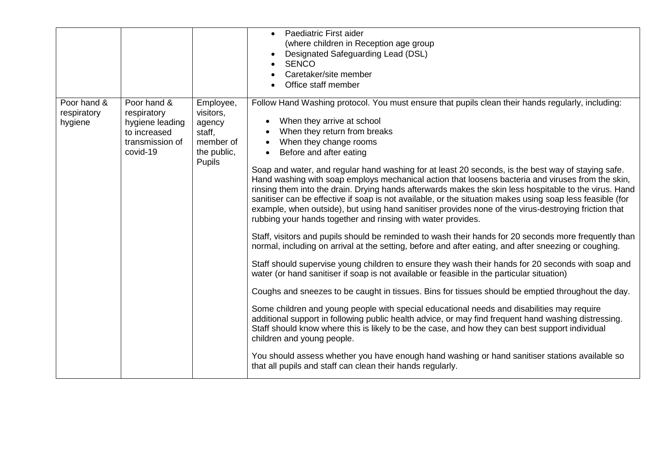|                                       |                                                                                              |                                                                                  | Paediatric First aider<br>(where children in Reception age group<br>Designated Safeguarding Lead (DSL)<br><b>SENCO</b><br>Caretaker/site member<br>Office staff member                                                                                                                                                                                                                                                                                                                                                                                                                                                                                                                                                                                                                                                                                                                                                                                                                                                                                                                                                                                                                                                                                                                                                                                                                                                                                                                                                                                                                                                                                                                                                                                                                                                                                                         |
|---------------------------------------|----------------------------------------------------------------------------------------------|----------------------------------------------------------------------------------|--------------------------------------------------------------------------------------------------------------------------------------------------------------------------------------------------------------------------------------------------------------------------------------------------------------------------------------------------------------------------------------------------------------------------------------------------------------------------------------------------------------------------------------------------------------------------------------------------------------------------------------------------------------------------------------------------------------------------------------------------------------------------------------------------------------------------------------------------------------------------------------------------------------------------------------------------------------------------------------------------------------------------------------------------------------------------------------------------------------------------------------------------------------------------------------------------------------------------------------------------------------------------------------------------------------------------------------------------------------------------------------------------------------------------------------------------------------------------------------------------------------------------------------------------------------------------------------------------------------------------------------------------------------------------------------------------------------------------------------------------------------------------------------------------------------------------------------------------------------------------------|
| Poor hand &<br>respiratory<br>hygiene | Poor hand &<br>respiratory<br>hygiene leading<br>to increased<br>transmission of<br>covid-19 | Employee,<br>visitors,<br>agency<br>staff,<br>member of<br>the public,<br>Pupils | Follow Hand Washing protocol. You must ensure that pupils clean their hands regularly, including:<br>When they arrive at school<br>When they return from breaks<br>When they change rooms<br>Before and after eating<br>$\bullet$<br>Soap and water, and regular hand washing for at least 20 seconds, is the best way of staying safe.<br>Hand washing with soap employs mechanical action that loosens bacteria and viruses from the skin,<br>rinsing them into the drain. Drying hands afterwards makes the skin less hospitable to the virus. Hand<br>sanitiser can be effective if soap is not available, or the situation makes using soap less feasible (for<br>example, when outside), but using hand sanitiser provides none of the virus-destroying friction that<br>rubbing your hands together and rinsing with water provides.<br>Staff, visitors and pupils should be reminded to wash their hands for 20 seconds more frequently than<br>normal, including on arrival at the setting, before and after eating, and after sneezing or coughing.<br>Staff should supervise young children to ensure they wash their hands for 20 seconds with soap and<br>water (or hand sanitiser if soap is not available or feasible in the particular situation)<br>Coughs and sneezes to be caught in tissues. Bins for tissues should be emptied throughout the day.<br>Some children and young people with special educational needs and disabilities may require<br>additional support in following public health advice, or may find frequent hand washing distressing.<br>Staff should know where this is likely to be the case, and how they can best support individual<br>children and young people.<br>You should assess whether you have enough hand washing or hand sanitiser stations available so<br>that all pupils and staff can clean their hands regularly. |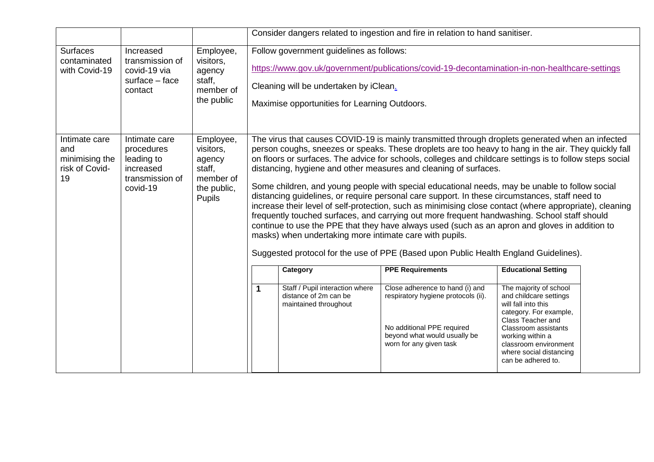|                                                                |                                                                                       |                                                                                         |                                                                                                                                                                                                                                                                                                                                                                                                                                                                                                                                                                                                                                                                                                                                                                                                                                                                                                                                                                                                                                                              |                                                                                                                                     | Consider dangers related to ingestion and fire in relation to hand sanitiser.                                                                                                              |                                                                                                                                                                                                                                                                            |  |
|----------------------------------------------------------------|---------------------------------------------------------------------------------------|-----------------------------------------------------------------------------------------|--------------------------------------------------------------------------------------------------------------------------------------------------------------------------------------------------------------------------------------------------------------------------------------------------------------------------------------------------------------------------------------------------------------------------------------------------------------------------------------------------------------------------------------------------------------------------------------------------------------------------------------------------------------------------------------------------------------------------------------------------------------------------------------------------------------------------------------------------------------------------------------------------------------------------------------------------------------------------------------------------------------------------------------------------------------|-------------------------------------------------------------------------------------------------------------------------------------|--------------------------------------------------------------------------------------------------------------------------------------------------------------------------------------------|----------------------------------------------------------------------------------------------------------------------------------------------------------------------------------------------------------------------------------------------------------------------------|--|
| <b>Surfaces</b><br>contaminated<br>with Covid-19               | Increased<br>transmission of<br>covid-19 via<br>surface - face<br>contact             | Employee,<br>visitors,<br>agency<br>staff,<br>member of<br>the public                   |                                                                                                                                                                                                                                                                                                                                                                                                                                                                                                                                                                                                                                                                                                                                                                                                                                                                                                                                                                                                                                                              | Follow government guidelines as follows:<br>Cleaning will be undertaken by iClean.<br>Maximise opportunities for Learning Outdoors. | https://www.gov.uk/government/publications/covid-19-decontamination-in-non-healthcare-settings                                                                                             |                                                                                                                                                                                                                                                                            |  |
| Intimate care<br>and<br>minimising the<br>risk of Covid-<br>19 | Intimate care<br>procedures<br>leading to<br>increased<br>transmission of<br>covid-19 | Employee,<br>visitors,<br>agency<br>staff,<br>member of<br>the public,<br><b>Pupils</b> | The virus that causes COVID-19 is mainly transmitted through droplets generated when an infected<br>person coughs, sneezes or speaks. These droplets are too heavy to hang in the air. They quickly fall<br>on floors or surfaces. The advice for schools, colleges and childcare settings is to follow steps social<br>distancing, hygiene and other measures and cleaning of surfaces.<br>Some children, and young people with special educational needs, may be unable to follow social<br>distancing guidelines, or require personal care support. In these circumstances, staff need to<br>increase their level of self-protection, such as minimising close contact (where appropriate), cleaning<br>frequently touched surfaces, and carrying out more frequent handwashing. School staff should<br>continue to use the PPE that they have always used (such as an apron and gloves in addition to<br>masks) when undertaking more intimate care with pupils.<br>Suggested protocol for the use of PPE (Based upon Public Health England Guidelines). |                                                                                                                                     |                                                                                                                                                                                            |                                                                                                                                                                                                                                                                            |  |
|                                                                |                                                                                       |                                                                                         | 1                                                                                                                                                                                                                                                                                                                                                                                                                                                                                                                                                                                                                                                                                                                                                                                                                                                                                                                                                                                                                                                            | Category<br>Staff / Pupil interaction where<br>distance of 2m can be<br>maintained throughout                                       | <b>PPE Requirements</b><br>Close adherence to hand (i) and<br>respiratory hygiene protocols (ii).<br>No additional PPE required<br>beyond what would usually be<br>worn for any given task | <b>Educational Setting</b><br>The majority of school<br>and childcare settings<br>will fall into this<br>category. For example,<br>Class Teacher and<br>Classroom assistants<br>working within a<br>classroom environment<br>where social distancing<br>can be adhered to. |  |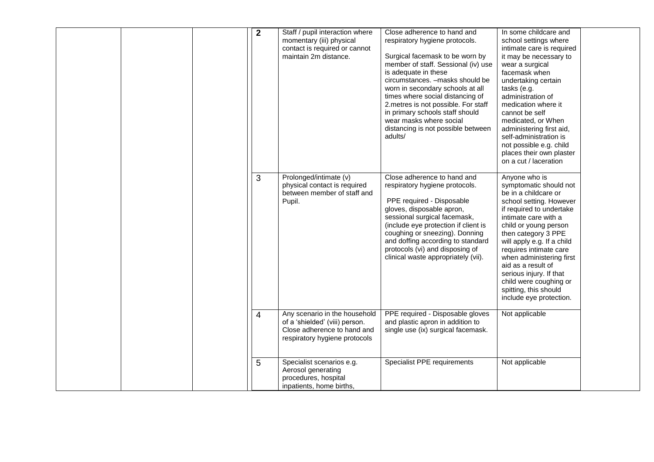|  | $\mathbf{2}$   | Staff / pupil interaction where<br>momentary (iii) physical<br>contact is required or cannot<br>maintain 2m distance.           | Close adherence to hand and<br>respiratory hygiene protocols.<br>Surgical facemask to be worn by<br>member of staff. Sessional (iv) use<br>is adequate in these<br>circumstances. - masks should be<br>worn in secondary schools at all<br>times where social distancing of<br>2.metres is not possible. For staff<br>in primary schools staff should<br>wear masks where social<br>distancing is not possible between<br>adults/ | In some childcare and<br>school settings where<br>intimate care is required<br>it may be necessary to<br>wear a surgical<br>facemask when<br>undertaking certain<br>tasks (e.g.<br>administration of<br>medication where it<br>cannot be self<br>medicated, or When<br>administering first aid,<br>self-administration is<br>not possible e.g. child<br>places their own plaster<br>on a cut / laceration         |  |
|--|----------------|---------------------------------------------------------------------------------------------------------------------------------|-----------------------------------------------------------------------------------------------------------------------------------------------------------------------------------------------------------------------------------------------------------------------------------------------------------------------------------------------------------------------------------------------------------------------------------|-------------------------------------------------------------------------------------------------------------------------------------------------------------------------------------------------------------------------------------------------------------------------------------------------------------------------------------------------------------------------------------------------------------------|--|
|  | 3              | Prolonged/intimate (v)<br>physical contact is required<br>between member of staff and<br>Pupil.                                 | Close adherence to hand and<br>respiratory hygiene protocols.<br>PPE required - Disposable<br>gloves, disposable apron,<br>sessional surgical facemask,<br>(include eye protection if client is<br>coughing or sneezing). Donning<br>and doffing according to standard<br>protocols (vi) and disposing of<br>clinical waste appropriately (vii).                                                                                  | Anyone who is<br>symptomatic should not<br>be in a childcare or<br>school setting. However<br>if required to undertake<br>intimate care with a<br>child or young person<br>then category 3 PPE<br>will apply e.g. If a child<br>requires intimate care<br>when administering first<br>aid as a result of<br>serious injury. If that<br>child were coughing or<br>spitting, this should<br>include eye protection. |  |
|  | $\overline{4}$ | Any scenario in the household<br>of a 'shielded' (viii) person.<br>Close adherence to hand and<br>respiratory hygiene protocols | PPE required - Disposable gloves<br>and plastic apron in addition to<br>single use (ix) surgical facemask.                                                                                                                                                                                                                                                                                                                        | Not applicable                                                                                                                                                                                                                                                                                                                                                                                                    |  |
|  | 5              | Specialist scenarios e.g.<br>Aerosol generating<br>procedures, hospital<br>inpatients, home births,                             | Specialist PPE requirements                                                                                                                                                                                                                                                                                                                                                                                                       | Not applicable                                                                                                                                                                                                                                                                                                                                                                                                    |  |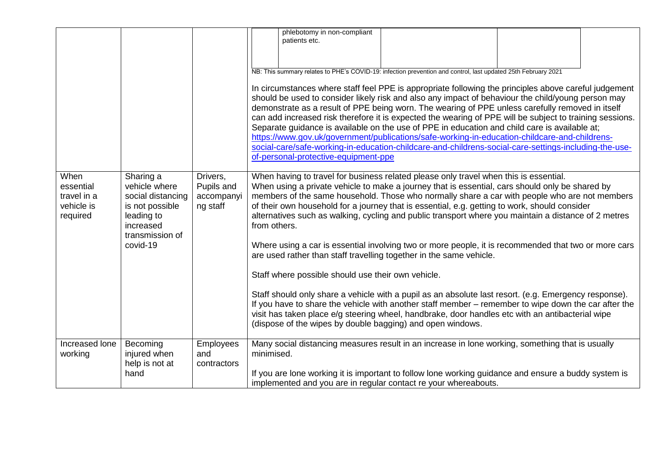|                                                            |                                                                                                                              |                                                  | phlebotomy in non-compliant<br>patients etc.<br>NB: This summary relates to PHE's COVID-19: infection prevention and control, last updated 25th February 2021<br>In circumstances where staff feel PPE is appropriate following the principles above careful judgement<br>should be used to consider likely risk and also any impact of behaviour the child/young person may<br>demonstrate as a result of PPE being worn. The wearing of PPE unless carefully removed in itself<br>can add increased risk therefore it is expected the wearing of PPE will be subject to training sessions.<br>Separate guidance is available on the use of PPE in education and child care is available at;<br>https://www.gov.uk/government/publications/safe-working-in-education-childcare-and-childrens-<br>social-care/safe-working-in-education-childcare-and-childrens-social-care-settings-including-the-use-<br>of-personal-protective-equipment-ppe                                                                                                                                                                                            |
|------------------------------------------------------------|------------------------------------------------------------------------------------------------------------------------------|--------------------------------------------------|--------------------------------------------------------------------------------------------------------------------------------------------------------------------------------------------------------------------------------------------------------------------------------------------------------------------------------------------------------------------------------------------------------------------------------------------------------------------------------------------------------------------------------------------------------------------------------------------------------------------------------------------------------------------------------------------------------------------------------------------------------------------------------------------------------------------------------------------------------------------------------------------------------------------------------------------------------------------------------------------------------------------------------------------------------------------------------------------------------------------------------------------|
| When<br>essential<br>travel in a<br>vehicle is<br>required | Sharing a<br>vehicle where<br>social distancing<br>is not possible<br>leading to<br>increased<br>transmission of<br>covid-19 | Drivers,<br>Pupils and<br>accompanyi<br>ng staff | When having to travel for business related please only travel when this is essential.<br>When using a private vehicle to make a journey that is essential, cars should only be shared by<br>members of the same household. Those who normally share a car with people who are not members<br>of their own household for a journey that is essential, e.g. getting to work, should consider<br>alternatives such as walking, cycling and public transport where you maintain a distance of 2 metres<br>from others.<br>Where using a car is essential involving two or more people, it is recommended that two or more cars<br>are used rather than staff travelling together in the same vehicle.<br>Staff where possible should use their own vehicle.<br>Staff should only share a vehicle with a pupil as an absolute last resort. (e.g. Emergency response).<br>If you have to share the vehicle with another staff member – remember to wipe down the car after the<br>visit has taken place e/g steering wheel, handbrake, door handles etc with an antibacterial wipe<br>(dispose of the wipes by double bagging) and open windows. |
| Increased lone<br>working                                  | Becoming<br>injured when<br>help is not at<br>hand                                                                           | Employees<br>and<br>contractors                  | Many social distancing measures result in an increase in lone working, something that is usually<br>minimised.<br>If you are lone working it is important to follow lone working guidance and ensure a buddy system is<br>implemented and you are in regular contact re your whereabouts.                                                                                                                                                                                                                                                                                                                                                                                                                                                                                                                                                                                                                                                                                                                                                                                                                                                  |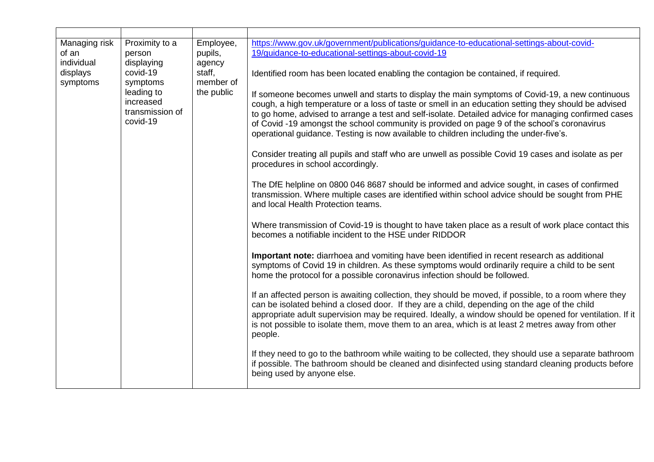| Managing risk<br>of an<br>individual<br>displays<br>symptoms | Proximity to a<br>person<br>displaying<br>covid-19<br>symptoms<br>leading to<br>increased<br>transmission of<br>covid-19 | Employee,<br>pupils,<br>agency<br>staff,<br>member of<br>the public | https://www.gov.uk/government/publications/guidance-to-educational-settings-about-covid-<br>19/guidance-to-educational-settings-about-covid-19<br>Identified room has been located enabling the contagion be contained, if required.<br>If someone becomes unwell and starts to display the main symptoms of Covid-19, a new continuous<br>cough, a high temperature or a loss of taste or smell in an education setting they should be advised<br>to go home, advised to arrange a test and self-isolate. Detailed advice for managing confirmed cases<br>of Covid -19 amongst the school community is provided on page 9 of the school's coronavirus<br>operational guidance. Testing is now available to children including the under-five's.<br>Consider treating all pupils and staff who are unwell as possible Covid 19 cases and isolate as per<br>procedures in school accordingly.<br>The DfE helpline on 0800 046 8687 should be informed and advice sought, in cases of confirmed<br>transmission. Where multiple cases are identified within school advice should be sought from PHE<br>and local Health Protection teams.<br>Where transmission of Covid-19 is thought to have taken place as a result of work place contact this<br>becomes a notifiable incident to the HSE under RIDDOR |
|--------------------------------------------------------------|--------------------------------------------------------------------------------------------------------------------------|---------------------------------------------------------------------|----------------------------------------------------------------------------------------------------------------------------------------------------------------------------------------------------------------------------------------------------------------------------------------------------------------------------------------------------------------------------------------------------------------------------------------------------------------------------------------------------------------------------------------------------------------------------------------------------------------------------------------------------------------------------------------------------------------------------------------------------------------------------------------------------------------------------------------------------------------------------------------------------------------------------------------------------------------------------------------------------------------------------------------------------------------------------------------------------------------------------------------------------------------------------------------------------------------------------------------------------------------------------------------------------------|
|                                                              | Important note: diarrhoea and vomiting have been identified in recent research as additional                             |                                                                     |                                                                                                                                                                                                                                                                                                                                                                                                                                                                                                                                                                                                                                                                                                                                                                                                                                                                                                                                                                                                                                                                                                                                                                                                                                                                                                          |
|                                                              |                                                                                                                          |                                                                     | symptoms of Covid 19 in children. As these symptoms would ordinarily require a child to be sent<br>home the protocol for a possible coronavirus infection should be followed.                                                                                                                                                                                                                                                                                                                                                                                                                                                                                                                                                                                                                                                                                                                                                                                                                                                                                                                                                                                                                                                                                                                            |
|                                                              |                                                                                                                          |                                                                     | If an affected person is awaiting collection, they should be moved, if possible, to a room where they<br>can be isolated behind a closed door. If they are a child, depending on the age of the child<br>appropriate adult supervision may be required. Ideally, a window should be opened for ventilation. If it<br>is not possible to isolate them, move them to an area, which is at least 2 metres away from other<br>people.                                                                                                                                                                                                                                                                                                                                                                                                                                                                                                                                                                                                                                                                                                                                                                                                                                                                        |
|                                                              |                                                                                                                          |                                                                     | If they need to go to the bathroom while waiting to be collected, they should use a separate bathroom<br>if possible. The bathroom should be cleaned and disinfected using standard cleaning products before<br>being used by anyone else.                                                                                                                                                                                                                                                                                                                                                                                                                                                                                                                                                                                                                                                                                                                                                                                                                                                                                                                                                                                                                                                               |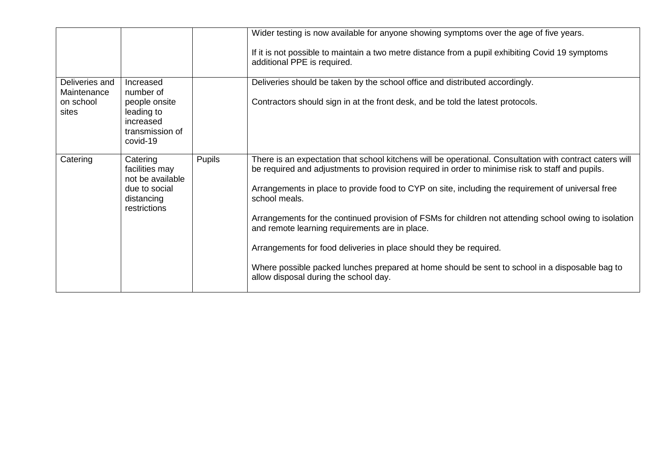|                                                     |                                                                                                   |               | Wider testing is now available for anyone showing symptoms over the age of five years.<br>If it is not possible to maintain a two metre distance from a pupil exhibiting Covid 19 symptoms<br>additional PPE is required.                                                                                                                                                                                                                                                                                                                                                                                                                                                                                      |
|-----------------------------------------------------|---------------------------------------------------------------------------------------------------|---------------|----------------------------------------------------------------------------------------------------------------------------------------------------------------------------------------------------------------------------------------------------------------------------------------------------------------------------------------------------------------------------------------------------------------------------------------------------------------------------------------------------------------------------------------------------------------------------------------------------------------------------------------------------------------------------------------------------------------|
| Deliveries and<br>Maintenance<br>on school<br>sites | Increased<br>number of<br>people onsite<br>leading to<br>increased<br>transmission of<br>covid-19 |               | Deliveries should be taken by the school office and distributed accordingly.<br>Contractors should sign in at the front desk, and be told the latest protocols.                                                                                                                                                                                                                                                                                                                                                                                                                                                                                                                                                |
| Catering                                            | Catering<br>facilities may<br>not be available<br>due to social<br>distancing<br>restrictions     | <b>Pupils</b> | There is an expectation that school kitchens will be operational. Consultation with contract caters will<br>be required and adjustments to provision required in order to minimise risk to staff and pupils.<br>Arrangements in place to provide food to CYP on site, including the requirement of universal free<br>school meals.<br>Arrangements for the continued provision of FSMs for children not attending school owing to isolation<br>and remote learning requirements are in place.<br>Arrangements for food deliveries in place should they be required.<br>Where possible packed lunches prepared at home should be sent to school in a disposable bag to<br>allow disposal during the school day. |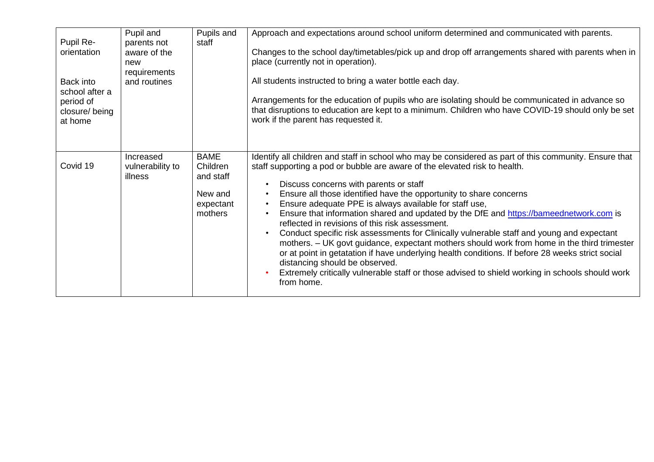| Pupil Re-<br>orientation                                             | Pupil and<br>parents not<br>aware of the<br>new<br>requirements | Pupils and<br>staff                                                     | Approach and expectations around school uniform determined and communicated with parents.<br>Changes to the school day/timetables/pick up and drop off arrangements shared with parents when in<br>place (currently not in operation).                                                                                                                                                                                                                                                                                                                                                                                                                                                                                                                                                                                                                                                                                                                         |
|----------------------------------------------------------------------|-----------------------------------------------------------------|-------------------------------------------------------------------------|----------------------------------------------------------------------------------------------------------------------------------------------------------------------------------------------------------------------------------------------------------------------------------------------------------------------------------------------------------------------------------------------------------------------------------------------------------------------------------------------------------------------------------------------------------------------------------------------------------------------------------------------------------------------------------------------------------------------------------------------------------------------------------------------------------------------------------------------------------------------------------------------------------------------------------------------------------------|
| Back into<br>school after a<br>period of<br>closure/being<br>at home | and routines                                                    |                                                                         | All students instructed to bring a water bottle each day.<br>Arrangements for the education of pupils who are isolating should be communicated in advance so<br>that disruptions to education are kept to a minimum. Children who have COVID-19 should only be set<br>work if the parent has requested it.                                                                                                                                                                                                                                                                                                                                                                                                                                                                                                                                                                                                                                                     |
| Covid 19                                                             | Increased<br>vulnerability to<br>illness                        | <b>BAME</b><br>Children<br>and staff<br>New and<br>expectant<br>mothers | Identify all children and staff in school who may be considered as part of this community. Ensure that<br>staff supporting a pod or bubble are aware of the elevated risk to health.<br>Discuss concerns with parents or staff<br>Ensure all those identified have the opportunity to share concerns<br>Ensure adequate PPE is always available for staff use,<br>Ensure that information shared and updated by the DfE and https://bameednetwork.com is<br>reflected in revisions of this risk assessment.<br>Conduct specific risk assessments for Clinically vulnerable staff and young and expectant<br>mothers. - UK govt guidance, expectant mothers should work from home in the third trimester<br>or at point in getatation if have underlying health conditions. If before 28 weeks strict social<br>distancing should be observed.<br>Extremely critically vulnerable staff or those advised to shield working in schools should work<br>from home. |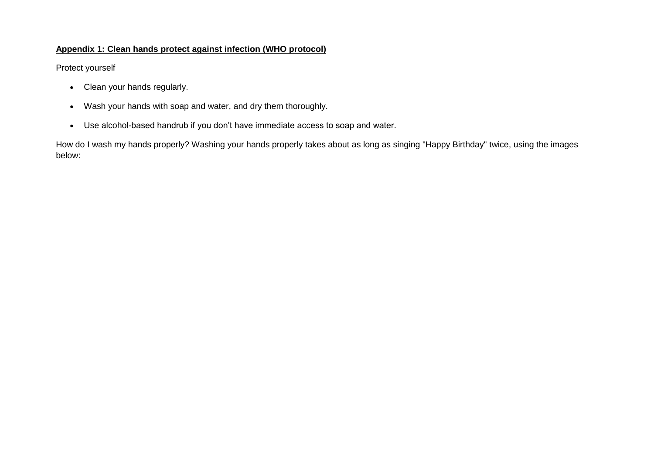## **Appendix 1: Clean hands protect against infection (WHO protocol)**

Protect yourself

- Clean your hands regularly.
- Wash your hands with soap and water, and dry them thoroughly.
- Use alcohol-based handrub if you don't have immediate access to soap and water.

How do I wash my hands properly? Washing your hands properly takes about as long as singing "Happy Birthday" twice, using the images below: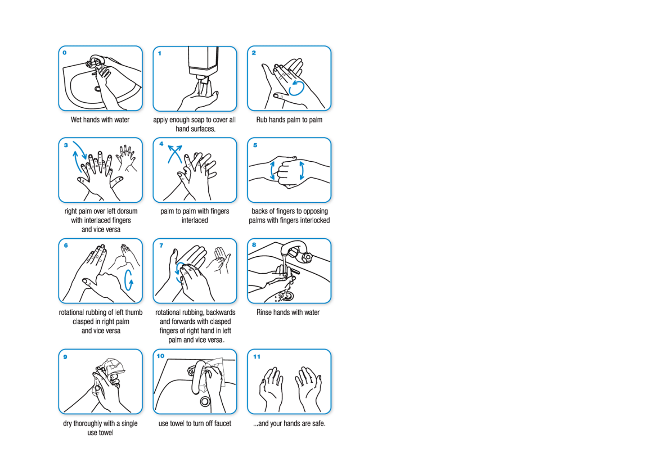





right palm over left dorsum with interlaced fingers and vice versa



 $\overline{\mathbf{1}}$ 



palm to palm with fingers interlaced



Rub hands palm to palm



backs of fingers to opposing palms with fingers interlocked



rotational rubbing of left thumb clasped in right palm and vice versa



dry thoroughly with a single use towel



rotational rubbing, backwards and forwards with clasped fingers of right hand in left palm and vice versa.



use towel to turn off faucet



Rinse hands with water



... and your hands are safe.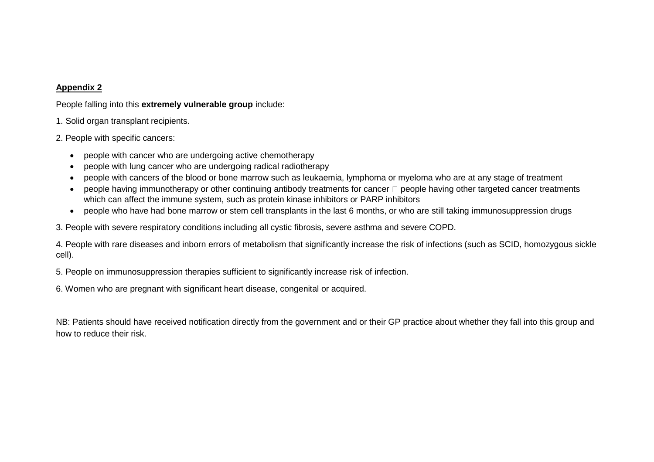## **Appendix 2**

People falling into this **extremely vulnerable group** include:

- 1. Solid organ transplant recipients.
- 2. People with specific cancers:
	- people with cancer who are undergoing active chemotherapy
	- people with lung cancer who are undergoing radical radiotherapy
	- people with cancers of the blood or bone marrow such as leukaemia, lymphoma or myeloma who are at any stage of treatment
	- people having immunotherapy or other continuing antibody treatments for cancer  $\Box$  people having other targeted cancer treatments which can affect the immune system, such as protein kinase inhibitors or PARP inhibitors
	- people who have had bone marrow or stem cell transplants in the last 6 months, or who are still taking immunosuppression drugs

3. People with severe respiratory conditions including all cystic fibrosis, severe asthma and severe COPD.

4. People with rare diseases and inborn errors of metabolism that significantly increase the risk of infections (such as SCID, homozygous sickle cell).

5. People on immunosuppression therapies sufficient to significantly increase risk of infection.

6. Women who are pregnant with significant heart disease, congenital or acquired.

NB: Patients should have received notification directly from the government and or their GP practice about whether they fall into this group and how to reduce their risk.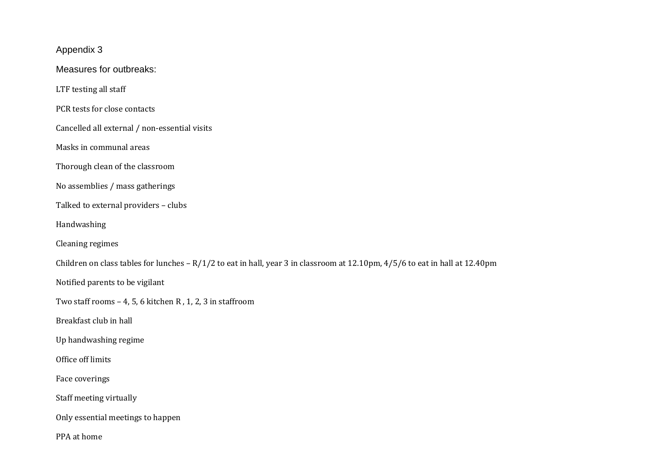Appendix 3 Measures for outbreaks: LTF testing all staff PCR tests for close contacts Cancelled all external / non-essential visits Masks in communal areas Thorough clean of the classroom No assemblies / mass gatherings Talked to external providers – clubs Handwashing Cleaning regimes Children on class tables for lunches – R/1/2 to eat in hall, year 3 in classroom at 12.10pm, 4/5/6 to eat in hall at 12.40pm Notified parents to be vigilant Two staff rooms – 4, 5, 6 kitchen R , 1, 2, 3 in staffroom Breakfast club in hall Up handwashing regime Office off limits Face coverings Staff meeting virtually Only essential meetings to happen PPA at home